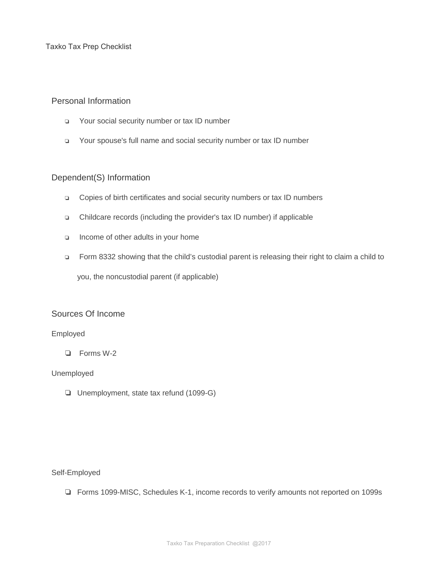Taxko Tax Prep Checklist

# Personal Information

- ❏ Your social security number or tax ID number
- ❏ Your spouse's full name and social security number or tax ID number

### Dependent(S) Information

- ❏ Copies of birth certificates and social security numbers or tax ID numbers
- ❏ Childcare records (including the provider's tax ID number) if applicable
- ❏ Income of other adults in your home
- ❏ Form 8332 showing that the child's custodial parent is releasing their right to claim a child to

you, the noncustodial parent (if applicable)

# Sources Of Income

#### Employed

❏ Forms W-2

### Unemployed

❏ Unemployment, state tax refund (1099-G)

### Self-Employed

❏ Forms 1099-MISC, Schedules K-1, income records to verify amounts not reported on 1099s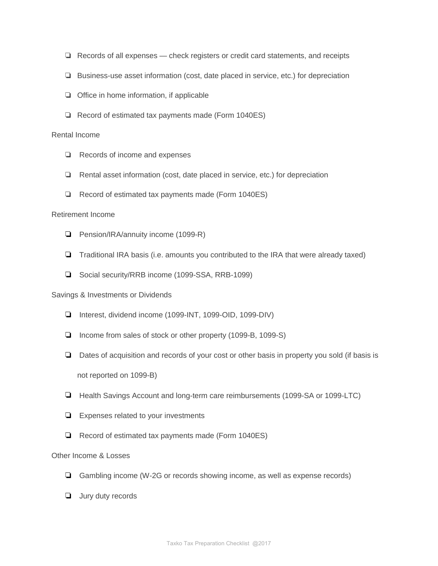- ❏ Records of all expenses check registers or credit card statements, and receipts
- ❏ Business-use asset information (cost, date placed in service, etc.) for depreciation
- ❏ Office in home information, if applicable
- ❏ Record of estimated tax payments made (Form 1040ES)

### Rental Income

- ❏ Records of income and expenses
- ❏ Rental asset information (cost, date placed in service, etc.) for depreciation
- ❏ Record of estimated tax payments made (Form 1040ES)

### Retirement Income

- ❏ Pension/IRA/annuity income (1099-R)
- ❏ Traditional IRA basis (i.e. amounts you contributed to the IRA that were already taxed)
- ❏ Social security/RRB income (1099-SSA, RRB-1099)

### Savings & Investments or Dividends

- ❏ Interest, dividend income (1099-INT, 1099-OID, 1099-DIV)
- ❏ Income from sales of stock or other property (1099-B, 1099-S)
- ❏ Dates of acquisition and records of your cost or other basis in property you sold (if basis is not reported on 1099-B)
- ❏ Health Savings Account and long-term care reimbursements (1099-SA or 1099-LTC)
- ❏ Expenses related to your investments
- ❏ Record of estimated tax payments made (Form 1040ES)

# Other Income & Losses

- ❏ Gambling income (W-2G or records showing income, as well as expense records)
- ❏ Jury duty records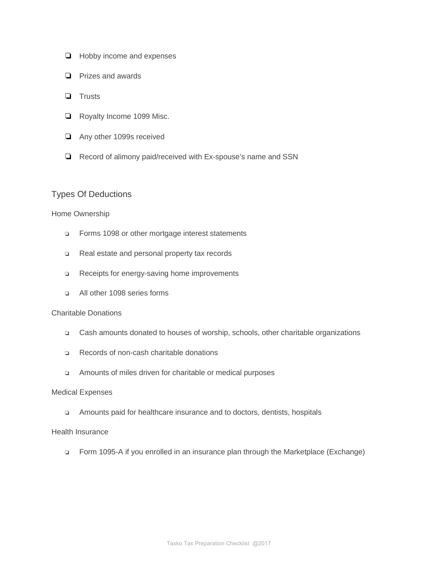- ❏ Hobby income and expenses
- ❏ Prizes and awards
- ❏ Trusts
- ❏ Royalty Income 1099 Misc.
- ❏ Any other 1099s received
- ❏ Record of alimony paid/received with Ex-spouse's name and SSN

# Types Of Deductions

### Home Ownership

- ❏ Forms 1098 or other mortgage interest statements
- ❏ Real estate and personal property tax records
- ❏ Receipts for energy-saving home improvements
- ❏ All other 1098 series forms

### Charitable Donations

- ❏ Cash amounts donated to houses of worship, schools, other charitable organizations
- ❏ Records of non-cash charitable donations
- ❏ Amounts of miles driven for charitable or medical purposes

#### Medical Expenses

❏ Amounts paid for healthcare insurance and to doctors, dentists, hospitals

### Health Insurance

❏ Form 1095-A if you enrolled in an insurance plan through the Marketplace (Exchange)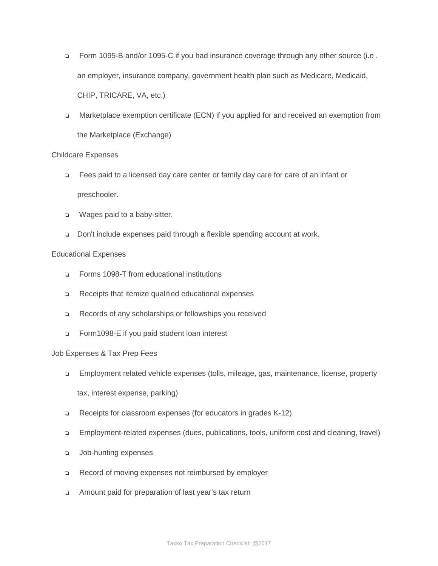- ❏ Form 1095-B and/or 1095-C if you had insurance coverage through any other source (i.e . an employer, insurance company, government health plan such as Medicare, Medicaid, CHIP, TRICARE, VA, etc.)
- ❏ Marketplace exemption certificate (ECN) if you applied for and received an exemption from the Marketplace (Exchange)

### Childcare Expenses

- ❏ Fees paid to a licensed day care center or family day care for care of an infant or preschooler.
- ❏ Wages paid to a baby-sitter.
- ❏ Don't include expenses paid through a flexible spending account at work.

### Educational Expenses

- ❏ Forms 1098-T from educational institutions
- ❏ Receipts that itemize qualified educational expenses
- ❏ Records of any scholarships or fellowships you received
- ❏ Form1098-E if you paid student loan interest

### Job Expenses & Tax Prep Fees

❏ Employment related vehicle expenses (tolls, mileage, gas, maintenance, license, property

tax, interest expense, parking)

- ❏ Receipts for classroom expenses (for educators in grades K-12)
- ❏ Employment-related expenses (dues, publications, tools, uniform cost and cleaning, travel)
- ❏ Job-hunting expenses
- ❏ Record of moving expenses not reimbursed by employer
- ❏ Amount paid for preparation of last year's tax return